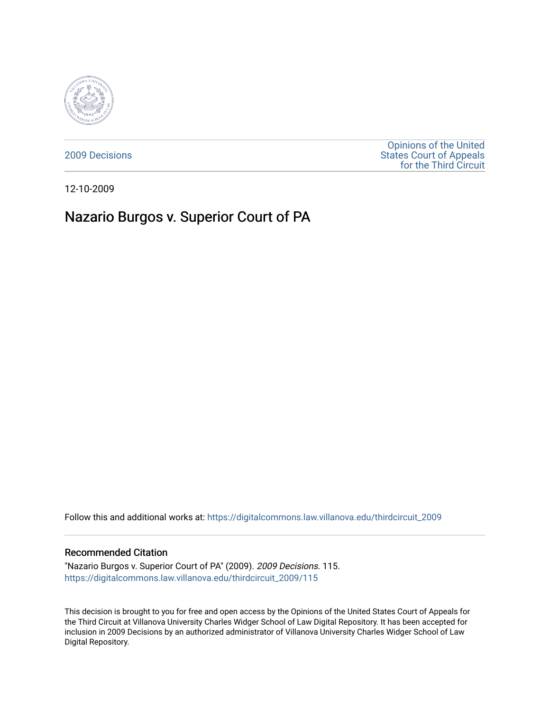

[2009 Decisions](https://digitalcommons.law.villanova.edu/thirdcircuit_2009)

[Opinions of the United](https://digitalcommons.law.villanova.edu/thirdcircuit)  [States Court of Appeals](https://digitalcommons.law.villanova.edu/thirdcircuit)  [for the Third Circuit](https://digitalcommons.law.villanova.edu/thirdcircuit) 

12-10-2009

# Nazario Burgos v. Superior Court of PA

Follow this and additional works at: [https://digitalcommons.law.villanova.edu/thirdcircuit\\_2009](https://digitalcommons.law.villanova.edu/thirdcircuit_2009?utm_source=digitalcommons.law.villanova.edu%2Fthirdcircuit_2009%2F115&utm_medium=PDF&utm_campaign=PDFCoverPages) 

### Recommended Citation

"Nazario Burgos v. Superior Court of PA" (2009). 2009 Decisions. 115. [https://digitalcommons.law.villanova.edu/thirdcircuit\\_2009/115](https://digitalcommons.law.villanova.edu/thirdcircuit_2009/115?utm_source=digitalcommons.law.villanova.edu%2Fthirdcircuit_2009%2F115&utm_medium=PDF&utm_campaign=PDFCoverPages)

This decision is brought to you for free and open access by the Opinions of the United States Court of Appeals for the Third Circuit at Villanova University Charles Widger School of Law Digital Repository. It has been accepted for inclusion in 2009 Decisions by an authorized administrator of Villanova University Charles Widger School of Law Digital Repository.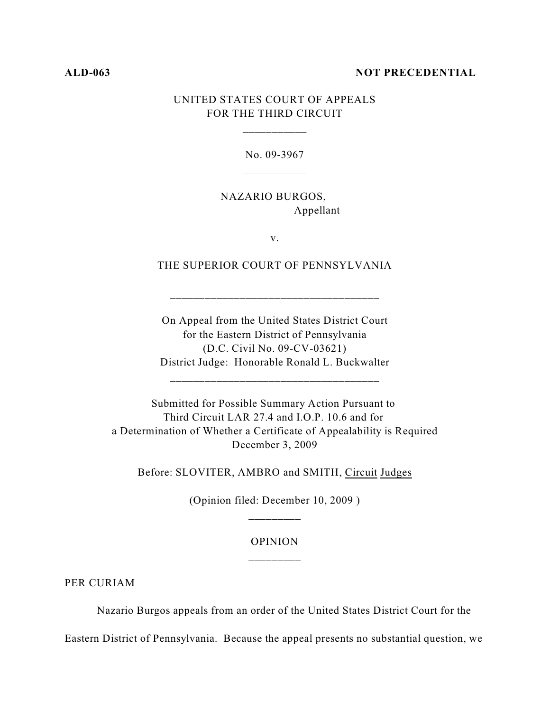#### **ALD-063 NOT PRECEDENTIAL**

# UNITED STATES COURT OF APPEALS FOR THE THIRD CIRCUIT

\_\_\_\_\_\_\_\_\_\_\_

No. 09-3967

NAZARIO BURGOS, Appellant

v.

THE SUPERIOR COURT OF PENNSYLVANIA

\_\_\_\_\_\_\_\_\_\_\_\_\_\_\_\_\_\_\_\_\_\_\_\_\_\_\_\_\_\_\_\_\_\_\_\_

On Appeal from the United States District Court for the Eastern District of Pennsylvania (D.C. Civil No. 09-CV-03621) District Judge: Honorable Ronald L. Buckwalter

\_\_\_\_\_\_\_\_\_\_\_\_\_\_\_\_\_\_\_\_\_\_\_\_\_\_\_\_\_\_\_\_\_\_\_\_

Submitted for Possible Summary Action Pursuant to Third Circuit LAR 27.4 and I.O.P. 10.6 and for a Determination of Whether a Certificate of Appealability is Required December 3, 2009

Before: SLOVITER, AMBRO and SMITH, Circuit Judges

(Opinion filed: December 10, 2009 )

# OPINION \_\_\_\_\_\_\_\_\_

PER CURIAM

Nazario Burgos appeals from an order of the United States District Court for the

Eastern District of Pennsylvania. Because the appeal presents no substantial question, we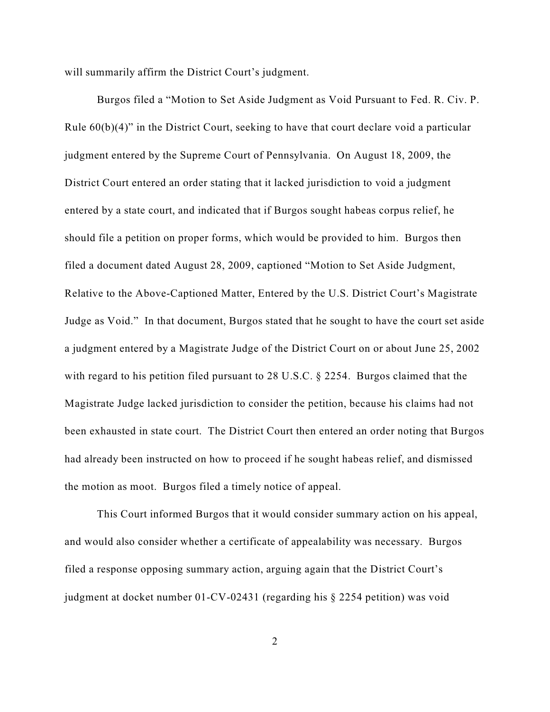will summarily affirm the District Court's judgment.

Burgos filed a "Motion to Set Aside Judgment as Void Pursuant to Fed. R. Civ. P. Rule 60(b)(4)" in the District Court, seeking to have that court declare void a particular judgment entered by the Supreme Court of Pennsylvania. On August 18, 2009, the District Court entered an order stating that it lacked jurisdiction to void a judgment entered by a state court, and indicated that if Burgos sought habeas corpus relief, he should file a petition on proper forms, which would be provided to him. Burgos then filed a document dated August 28, 2009, captioned "Motion to Set Aside Judgment, Relative to the Above-Captioned Matter, Entered by the U.S. District Court's Magistrate Judge as Void." In that document, Burgos stated that he sought to have the court set aside a judgment entered by a Magistrate Judge of the District Court on or about June 25, 2002 with regard to his petition filed pursuant to 28 U.S.C. § 2254. Burgos claimed that the Magistrate Judge lacked jurisdiction to consider the petition, because his claims had not been exhausted in state court. The District Court then entered an order noting that Burgos had already been instructed on how to proceed if he sought habeas relief, and dismissed the motion as moot. Burgos filed a timely notice of appeal.

This Court informed Burgos that it would consider summary action on his appeal, and would also consider whether a certificate of appealability was necessary. Burgos filed a response opposing summary action, arguing again that the District Court's judgment at docket number 01-CV-02431 (regarding his § 2254 petition) was void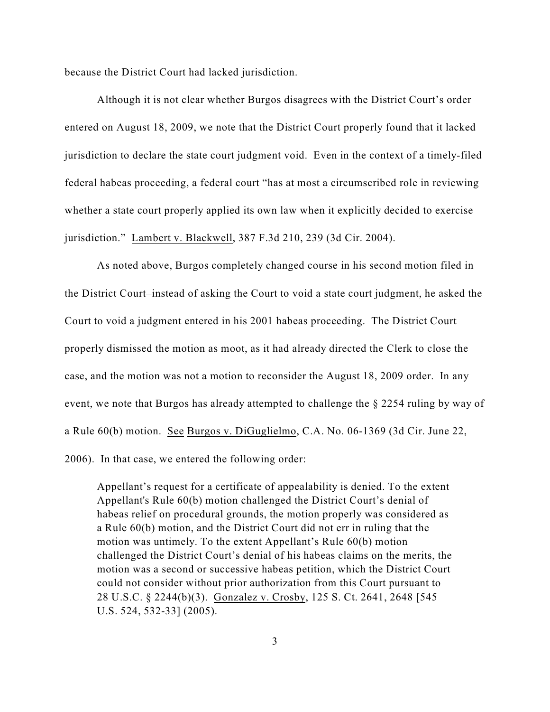because the District Court had lacked jurisdiction.

Although it is not clear whether Burgos disagrees with the District Court's order entered on August 18, 2009, we note that the District Court properly found that it lacked jurisdiction to declare the state court judgment void. Even in the context of a timely-filed federal habeas proceeding, a federal court "has at most a circumscribed role in reviewing whether a state court properly applied its own law when it explicitly decided to exercise jurisdiction." Lambert v. Blackwell, 387 F.3d 210, 239 (3d Cir. 2004).

As noted above, Burgos completely changed course in his second motion filed in the District Court–instead of asking the Court to void a state court judgment, he asked the Court to void a judgment entered in his 2001 habeas proceeding. The District Court properly dismissed the motion as moot, as it had already directed the Clerk to close the case, and the motion was not a motion to reconsider the August 18, 2009 order. In any event, we note that Burgos has already attempted to challenge the § 2254 ruling by way of a Rule 60(b) motion. See Burgos v. DiGuglielmo, C.A. No. 06-1369 (3d Cir. June 22, 2006). In that case, we entered the following order:

Appellant's request for a certificate of appealability is denied. To the extent Appellant's Rule 60(b) motion challenged the District Court's denial of habeas relief on procedural grounds, the motion properly was considered as a Rule 60(b) motion, and the District Court did not err in ruling that the motion was untimely. To the extent Appellant's Rule 60(b) motion challenged the District Court's denial of his habeas claims on the merits, the motion was a second or successive habeas petition, which the District Court could not consider without prior authorization from this Court pursuant to 28 U.S.C. § 2244(b)(3). Gonzalez v. Crosby, 125 S. Ct. 2641, 2648 [545 U.S. 524, 532-33] (2005).

3